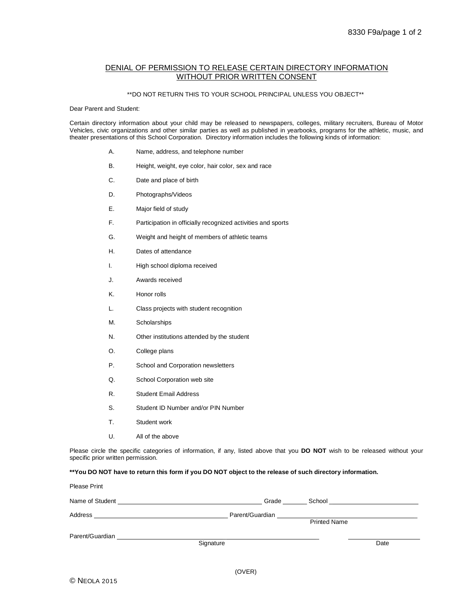## DENIAL OF PERMISSION TO RELEASE CERTAIN DIRECTORY INFORMATION WITHOUT PRIOR WRITTEN CONSENT

\*\*DO NOT RETURN THIS TO YOUR SCHOOL PRINCIPAL UNLESS YOU OBJECT\*\*

Dear Parent and Student:

Certain directory information about your child may be released to newspapers, colleges, military recruiters, Bureau of Motor Vehicles, civic organizations and other similar parties as well as published in yearbooks, programs for the athletic, music, and theater presentations of this School Corporation. Directory information includes the following kinds of information:

- A. Name, address, and telephone number
- B. Height, weight, eye color, hair color, sex and race
- C. Date and place of birth
- D. Photographs/Videos
- E. Major field of study
- F. Participation in officially recognized activities and sports
- G. Weight and height of members of athletic teams
- H. Dates of attendance
- I. High school diploma received
- J. Awards received
- K. Honor rolls
- L. Class projects with student recognition
- M. Scholarships
- N. Other institutions attended by the student
- O. College plans
- P. School and Corporation newsletters
- Q. School Corporation web site
- R. Student Email Address
- S. Student ID Number and/or PIN Number
- T. Student work
- U. All of the above

Please circle the specific categories of information, if any, listed above that you **DO NOT** wish to be released without your specific prior written permission.

**\*\*You DO NOT have to return this form if you DO NOT object to the release of such directory information.**

| <b>Please Print</b> |                                                                                                                                                                                                                                             |                 |                                                                                                                                              |      |
|---------------------|---------------------------------------------------------------------------------------------------------------------------------------------------------------------------------------------------------------------------------------------|-----------------|----------------------------------------------------------------------------------------------------------------------------------------------|------|
|                     |                                                                                                                                                                                                                                             | Grade           | _School ______________________                                                                                                               |      |
|                     |                                                                                                                                                                                                                                             | Parent/Guardian | <u> 1989 - Jan Sterling von Berling von Berling von Berling von Berling von Berling von Berling von Berling von B</u><br><b>Printed Name</b> |      |
| Parent/Guardian     | 1000 - 1000 - 1000 - 1000 - 1000 - 1000 - 1000 - 1000 - 1000 - 1000 - 1000 - 1000 - 1000 - 1000 - 1000 - 1000<br>1000 - 1000 - 1000 - 1000 - 1000 - 1000 - 1000 - 1000 - 1000 - 1000 - 1000 - 1000 - 1000 - 1000 - 1000 - 1000<br>Signature |                 |                                                                                                                                              | Date |